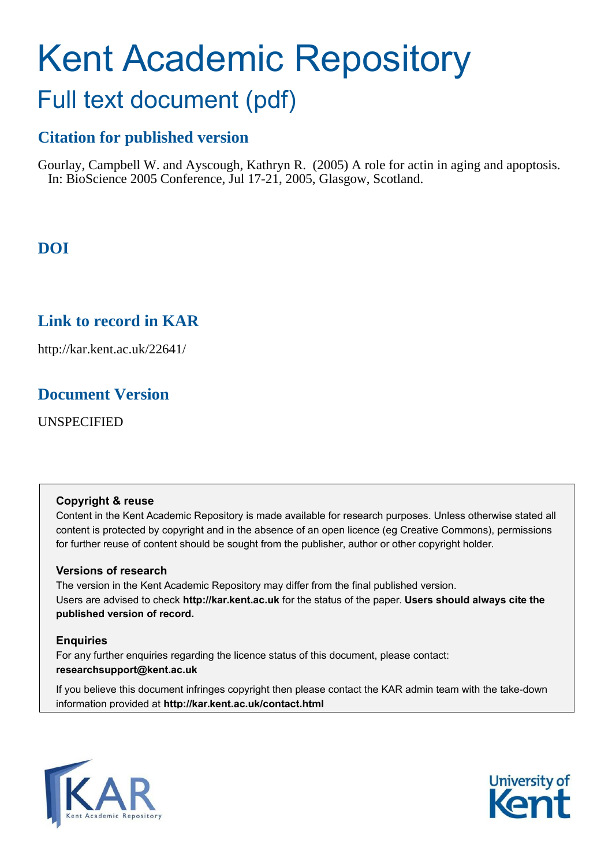# Kent Academic Repository

## Full text document (pdf)

## **Citation for published version**

Gourlay, Campbell W. and Ayscough, Kathryn R. (2005) A role for actin in aging and apoptosis. In: BioScience 2005 Conference, Jul 17-21, 2005, Glasgow, Scotland.

## **DOI**

## **Link to record in KAR**

http://kar.kent.ac.uk/22641/

## **Document Version**

UNSPECIFIED

#### **Copyright & reuse**

Content in the Kent Academic Repository is made available for research purposes. Unless otherwise stated all content is protected by copyright and in the absence of an open licence (eg Creative Commons), permissions for further reuse of content should be sought from the publisher, author or other copyright holder.

#### **Versions of research**

The version in the Kent Academic Repository may differ from the final published version. Users are advised to check **http://kar.kent.ac.uk** for the status of the paper. **Users should always cite the published version of record.**

#### **Enquiries**

For any further enquiries regarding the licence status of this document, please contact: **researchsupport@kent.ac.uk**

If you believe this document infringes copyright then please contact the KAR admin team with the take-down information provided at **http://kar.kent.ac.uk/contact.html**



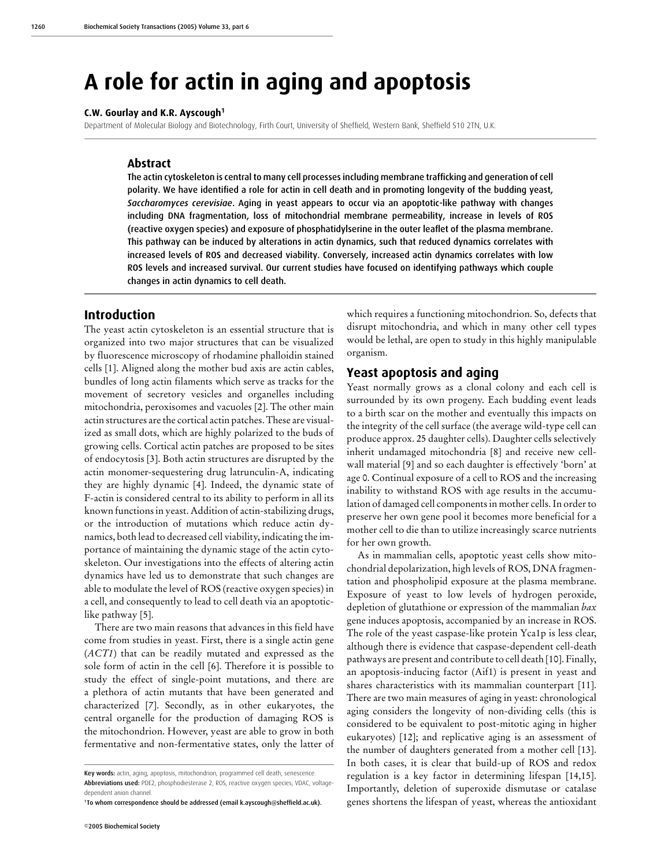## **A role for actin in aging and apoptosis**

#### **C.W. Gourlay and K.R. Ayscough<sup>1</sup>**

Department of Molecular Biology and Biotechnology, Firth Court, University of Sheffield, Western Bank, Sheffield S10 2TN, U.K.

#### **Abstract**

The actin cytoskeleton is central to many cell processes including membrane trafficking and generation of cell polarity. We have identified a role for actin in cell death and in promoting longevity of the budding yeast, *Saccharomyces cerevisiae*. Aging in yeast appears to occur via an apoptotic-like pathway with changes including DNA fragmentation, loss of mitochondrial membrane permeability, increase in levels of ROS (reactive oxygen species) and exposure of phosphatidylserine in the outer leaflet of the plasma membrane. This pathway can be induced by alterations in actin dynamics, such that reduced dynamics correlates with increased levels of ROS and decreased viability. Conversely, increased actin dynamics correlates with low ROS levels and increased survival. Our current studies have focused on identifying pathways which couple changes in actin dynamics to cell death.

#### **Introduction**

The yeast actin cytoskeleton is an essential structure that is organized into two major structures that can be visualized by fluorescence microscopy of rhodamine phalloidin stained cells [1]. Aligned along the mother bud axis are actin cables, bundles of long actin filaments which serve as tracks for the movement of secretory vesicles and organelles including mitochondria, peroxisomes and vacuoles [2]. The other main actin structures are the cortical actin patches. These are visualized as small dots, which are highly polarized to the buds of growing cells. Cortical actin patches are proposed to be sites of endocytosis [3]. Both actin structures are disrupted by the actin monomer-sequestering drug latrunculin-A, indicating they are highly dynamic [4]. Indeed, the dynamic state of F-actin is considered central to its ability to perform in all its known functions in yeast. Addition of actin-stabilizing drugs, or the introduction of mutations which reduce actin dynamics, both lead to decreased cell viability, indicating the importance of maintaining the dynamic stage of the actin cytoskeleton. Our investigations into the effects of altering actin dynamics have led us to demonstrate that such changes are able to modulate the level of ROS (reactive oxygen species) in a cell, and consequently to lead to cell death via an apoptoticlike pathway [5].

There are two main reasons that advances in this field have come from studies in yeast. First, there is a single actin gene (*ACT1*) that can be readily mutated and expressed as the sole form of actin in the cell [6]. Therefore it is possible to study the effect of single-point mutations, and there are a plethora of actin mutants that have been generated and characterized [7]. Secondly, as in other eukaryotes, the central organelle for the production of damaging ROS is the mitochondrion. However, yeast are able to grow in both fermentative and non-fermentative states, only the latter of

would be lethal, are open to study in this highly manipulable organism. **Yeast apoptosis and aging** Yeast normally grows as a clonal colony and each cell is

which requires a functioning mitochondrion. So, defects that disrupt mitochondria, and which in many other cell types

surrounded by its own progeny. Each budding event leads to a birth scar on the mother and eventually this impacts on the integrity of the cell surface (the average wild-type cell can produce approx. 25 daughter cells). Daughter cells selectively inherit undamaged mitochondria [8] and receive new cellwall material [9] and so each daughter is effectively 'born' at age 0. Continual exposure of a cell to ROS and the increasing inability to withstand ROS with age results in the accumulation of damaged cell components in mother cells. In order to preserve her own gene pool it becomes more beneficial for a mother cell to die than to utilize increasingly scarce nutrients for her own growth.

As in mammalian cells, apoptotic yeast cells show mitochondrial depolarization, high levels of ROS, DNA fragmentation and phospholipid exposure at the plasma membrane. Exposure of yeast to low levels of hydrogen peroxide, depletion of glutathione or expression of the mammalian *bax* gene induces apoptosis, accompanied by an increase in ROS. The role of the yeast caspase-like protein Yca1p is less clear, although there is evidence that caspase-dependent cell-death pathways are present and contribute to cell death [10]. Finally, an apoptosis-inducing factor (Aif1) is present in yeast and shares characteristics with its mammalian counterpart [11]. There are two main measures of aging in yeast: chronological aging considers the longevity of non-dividing cells (this is considered to be equivalent to post-mitotic aging in higher eukaryotes) [12]; and replicative aging is an assessment of the number of daughters generated from a mother cell [13]. In both cases, it is clear that build-up of ROS and redox regulation is a key factor in determining lifespan [14,15]. Importantly, deletion of superoxide dismutase or catalase genes shortens the lifespan of yeast, whereas the antioxidant

Key words: actin, aging, apoptosis, mitochondrion, programmed cell death, senescence. Abbreviations used: PDE2, phosphodiesterase 2; ROS, reactive oxygen species; VDAC, voltagedependent anion channel.

<sup>1</sup> To whom correspondence should be addressed (email k.ayscough@sheffield.ac.uk).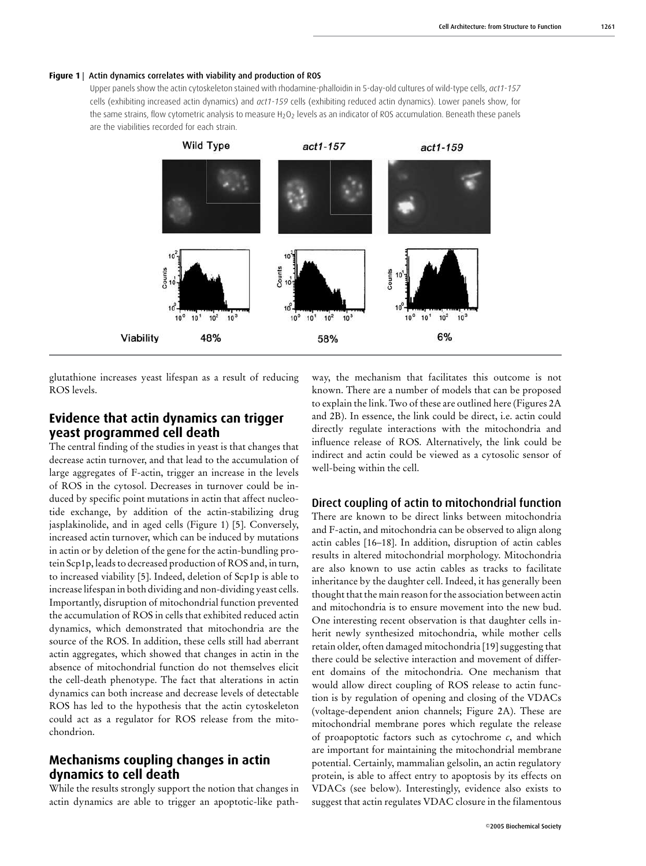#### Figure 1 | Actin dynamics correlates with viability and production of ROS

Upper panels show the actin cytoskeleton stained with rhodamine-phalloidin in 5-day-old cultures of wild-type cells, *act1-157* cells (exhibiting increased actin dynamics) and *act1-159* cells (exhibiting reduced actin dynamics). Lower panels show, for the same strains, flow cytometric analysis to measure  $H_2O_2$  levels as an indicator of ROS accumulation. Beneath these panels are the viabilities recorded for each strain.



glutathione increases yeast lifespan as a result of reducing ROS levels.

#### **Evidence that actin dynamics can trigger yeast programmed cell death**

The central finding of the studies in yeast is that changes that decrease actin turnover, and that lead to the accumulation of large aggregates of F-actin, trigger an increase in the levels of ROS in the cytosol. Decreases in turnover could be induced by specific point mutations in actin that affect nucleotide exchange, by addition of the actin-stabilizing drug jasplakinolide, and in aged cells (Figure 1) [5]. Conversely, increased actin turnover, which can be induced by mutations in actin or by deletion of the gene for the actin-bundling protein Scp1p, leads to decreased production of ROS and, in turn, to increased viability [5]. Indeed, deletion of Scp1p is able to increase lifespan in both dividing and non-dividing yeast cells. Importantly, disruption of mitochondrial function prevented the accumulation of ROS in cells that exhibited reduced actin dynamics, which demonstrated that mitochondria are the source of the ROS. In addition, these cells still had aberrant actin aggregates, which showed that changes in actin in the absence of mitochondrial function do not themselves elicit the cell-death phenotype. The fact that alterations in actin dynamics can both increase and decrease levels of detectable ROS has led to the hypothesis that the actin cytoskeleton could act as a regulator for ROS release from the mitochondrion.

#### **Mechanisms coupling changes in actin dynamics to cell death**

While the results strongly support the notion that changes in actin dynamics are able to trigger an apoptotic-like path-

way, the mechanism that facilitates this outcome is not known. There are a number of models that can be proposed to explain the link. Two of these are outlined here (Figures 2A and 2B). In essence, the link could be direct, i.e. actin could directly regulate interactions with the mitochondria and influence release of ROS. Alternatively, the link could be indirect and actin could be viewed as a cytosolic sensor of well-being within the cell.

#### Direct coupling of actin to mitochondrial function

There are known to be direct links between mitochondria and F-actin, and mitochondria can be observed to align along actin cables [16–18]. In addition, disruption of actin cables results in altered mitochondrial morphology. Mitochondria are also known to use actin cables as tracks to facilitate inheritance by the daughter cell. Indeed, it has generally been thought that the main reason for the association between actin and mitochondria is to ensure movement into the new bud. One interesting recent observation is that daughter cells inherit newly synthesized mitochondria, while mother cells retain older, often damaged mitochondria [19] suggesting that there could be selective interaction and movement of different domains of the mitochondria. One mechanism that would allow direct coupling of ROS release to actin function is by regulation of opening and closing of the VDACs (voltage-dependent anion channels; Figure 2A). These are mitochondrial membrane pores which regulate the release of proapoptotic factors such as cytochrome *c*, and which are important for maintaining the mitochondrial membrane potential. Certainly, mammalian gelsolin, an actin regulatory protein, is able to affect entry to apoptosis by its effects on VDACs (see below). Interestingly, evidence also exists to suggest that actin regulates VDAC closure in the filamentous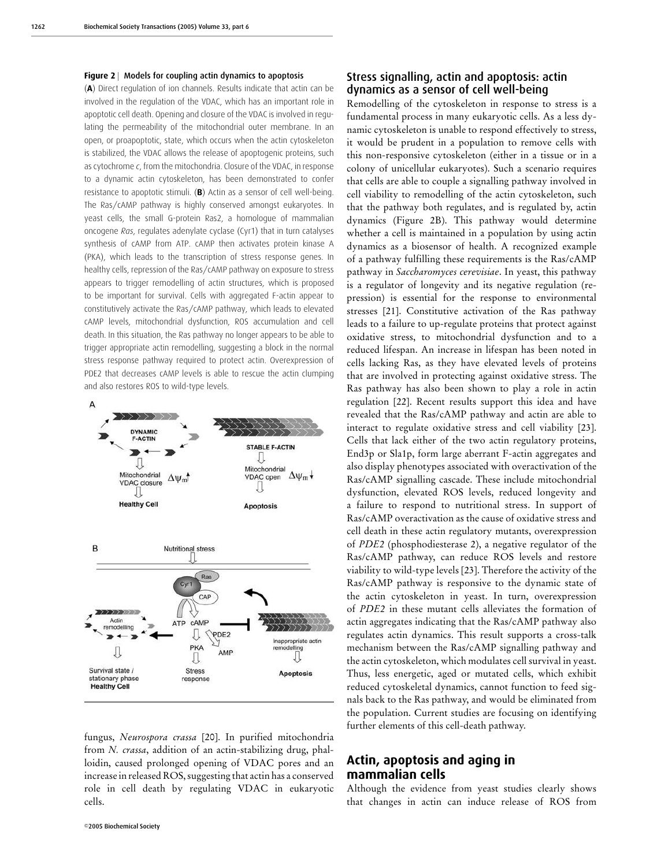#### Figure 2 | Models for coupling actin dynamics to apoptosis

(**A**) Direct regulation of ion channels. Results indicate that actin can be involved in the regulation of the VDAC, which has an important role in apoptotic cell death. Opening and closure of the VDAC is involved in regulating the permeability of the mitochondrial outer membrane. In an open, or proapoptotic, state, which occurs when the actin cytoskeleton is stabilized, the VDAC allows the release of apoptogenic proteins, such as cytochrome *c*, from the mitochondria. Closure of the VDAC, in response to a dynamic actin cytoskeleton, has been demonstrated to confer resistance to apoptotic stimuli. (**B**) Actin as a sensor of cell well-being. The Ras/cAMP pathway is highly conserved amongst eukaryotes. In yeast cells, the small G-protein Ras2, a homologue of mammalian oncogene *Ras*, regulates adenylate cyclase (Cyr1) that in turn catalyses synthesis of cAMP from ATP. cAMP then activates protein kinase A (PKA), which leads to the transcription of stress response genes. In healthy cells, repression of the Ras/cAMP pathway on exposure to stress appears to trigger remodelling of actin structures, which is proposed to be important for survival. Cells with aggregated F-actin appear to constitutively activate the Ras/cAMP pathway, which leads to elevated cAMP levels, mitochondrial dysfunction, ROS accumulation and cell death. In this situation, the Ras pathway no longer appears to be able to trigger appropriate actin remodelling, suggesting a block in the normal stress response pathway required to protect actin. Overexpression of PDE2 that decreases cAMP levels is able to rescue the actin clumping and also restores ROS to wild-type levels.



fungus, *Neurospora crassa* [20]. In purified mitochondria from *N. crassa*, addition of an actin-stabilizing drug, phalloidin, caused prolonged opening of VDAC pores and an increase in released ROS, suggesting that actin has a conserved role in cell death by regulating VDAC in eukaryotic cells.

#### Stress signalling, actin and apoptosis: actin dynamics as a sensor of cell well-being

Remodelling of the cytoskeleton in response to stress is a fundamental process in many eukaryotic cells. As a less dynamic cytoskeleton is unable to respond effectively to stress, it would be prudent in a population to remove cells with this non-responsive cytoskeleton (either in a tissue or in a colony of unicellular eukaryotes). Such a scenario requires that cells are able to couple a signalling pathway involved in cell viability to remodelling of the actin cytoskeleton, such that the pathway both regulates, and is regulated by, actin dynamics (Figure 2B). This pathway would determine whether a cell is maintained in a population by using actin dynamics as a biosensor of health. A recognized example of a pathway fulfilling these requirements is the Ras/cAMP pathway in *Saccharomyces cerevisiae*. In yeast, this pathway is a regulator of longevity and its negative regulation (repression) is essential for the response to environmental stresses [21]. Constitutive activation of the Ras pathway leads to a failure to up-regulate proteins that protect against oxidative stress, to mitochondrial dysfunction and to a reduced lifespan. An increase in lifespan has been noted in cells lacking Ras, as they have elevated levels of proteins that are involved in protecting against oxidative stress. The Ras pathway has also been shown to play a role in actin regulation [22]. Recent results support this idea and have revealed that the Ras/cAMP pathway and actin are able to interact to regulate oxidative stress and cell viability [23]. Cells that lack either of the two actin regulatory proteins, End3p or Sla1p, form large aberrant F-actin aggregates and also display phenotypes associated with overactivation of the Ras/cAMP signalling cascade. These include mitochondrial dysfunction, elevated ROS levels, reduced longevity and a failure to respond to nutritional stress. In support of Ras/cAMP overactivation as the cause of oxidative stress and cell death in these actin regulatory mutants, overexpression of *PDE2* (phosphodiesterase 2), a negative regulator of the Ras/cAMP pathway, can reduce ROS levels and restore viability to wild-type levels [23]. Therefore the activity of the Ras/cAMP pathway is responsive to the dynamic state of the actin cytoskeleton in yeast. In turn, overexpression of *PDE2* in these mutant cells alleviates the formation of actin aggregates indicating that the Ras/cAMP pathway also regulates actin dynamics. This result supports a cross-talk mechanism between the Ras/cAMP signalling pathway and the actin cytoskeleton, which modulates cell survival in yeast. Thus, less energetic, aged or mutated cells, which exhibit reduced cytoskeletal dynamics, cannot function to feed signals back to the Ras pathway, and would be eliminated from the population. Current studies are focusing on identifying further elements of this cell-death pathway.

#### **Actin, apoptosis and aging in mammalian cells**

Although the evidence from yeast studies clearly shows that changes in actin can induce release of ROS from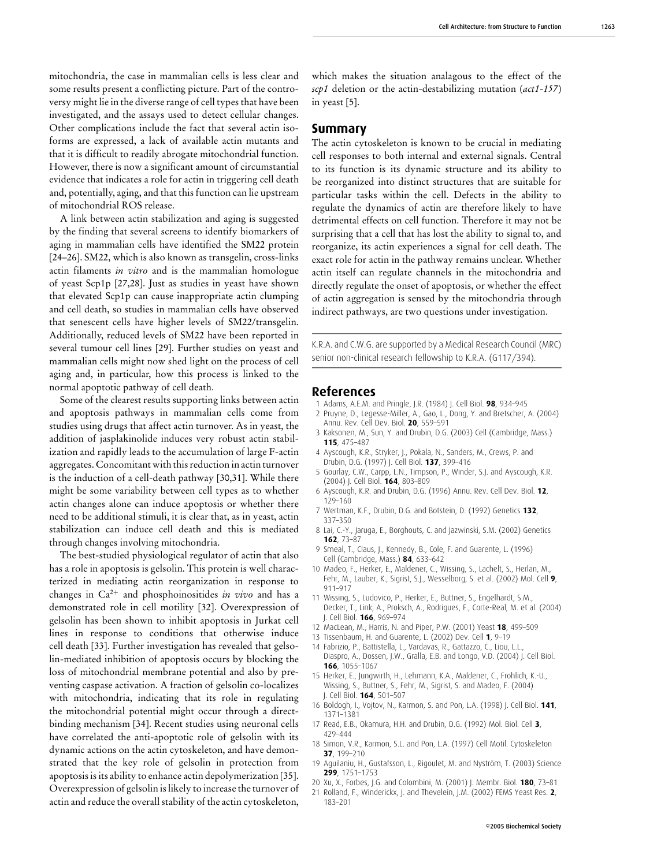mitochondria, the case in mammalian cells is less clear and some results present a conflicting picture. Part of the controversy might lie in the diverse range of cell types that have been investigated, and the assays used to detect cellular changes. Other complications include the fact that several actin isoforms are expressed, a lack of available actin mutants and that it is difficult to readily abrogate mitochondrial function. However, there is now a significant amount of circumstantial evidence that indicates a role for actin in triggering cell death and, potentially, aging, and that this function can lie upstream of mitochondrial ROS release.

A link between actin stabilization and aging is suggested by the finding that several screens to identify biomarkers of aging in mammalian cells have identified the SM22 protein [24–26]. SM22, which is also known as transgelin, cross-links actin filaments *in vitro* and is the mammalian homologue of yeast Scp1p [27,28]. Just as studies in yeast have shown that elevated Scp1p can cause inappropriate actin clumping and cell death, so studies in mammalian cells have observed that senescent cells have higher levels of SM22/transgelin. Additionally, reduced levels of SM22 have been reported in several tumour cell lines [29]. Further studies on yeast and mammalian cells might now shed light on the process of cell aging and, in particular, how this process is linked to the normal apoptotic pathway of cell death.

Some of the clearest results supporting links between actin and apoptosis pathways in mammalian cells come from studies using drugs that affect actin turnover. As in yeast, the addition of jasplakinolide induces very robust actin stabilization and rapidly leads to the accumulation of large F-actin aggregates. Concomitant with this reduction in actin turnover is the induction of a cell-death pathway [30,31]. While there might be some variability between cell types as to whether actin changes alone can induce apoptosis or whether there need to be additional stimuli, it is clear that, as in yeast, actin stabilization can induce cell death and this is mediated through changes involving mitochondria.

The best-studied physiological regulator of actin that also has a role in apoptosis is gelsolin. This protein is well characterized in mediating actin reorganization in response to changes in Ca<sup>2</sup><sup>+</sup> and phosphoinositides *in vivo* and has a demonstrated role in cell motility [32]. Overexpression of gelsolin has been shown to inhibit apoptosis in Jurkat cell lines in response to conditions that otherwise induce cell death [33]. Further investigation has revealed that gelsolin-mediated inhibition of apoptosis occurs by blocking the loss of mitochondrial membrane potential and also by preventing caspase activation. A fraction of gelsolin co-localizes with mitochondria, indicating that its role in regulating the mitochondrial potential might occur through a directbinding mechanism [34]. Recent studies using neuronal cells have correlated the anti-apoptotic role of gelsolin with its dynamic actions on the actin cytoskeleton, and have demonstrated that the key role of gelsolin in protection from apoptosis is its ability to enhance actin depolymerization [35]. Overexpression of gelsolin is likely to increase the turnover of actin and reduce the overall stability of the actin cytoskeleton,

which makes the situation analagous to the effect of the *scp1* deletion or the actin-destabilizing mutation (*act1-157*) in yeast [5].

#### **Summary**

The actin cytoskeleton is known to be crucial in mediating cell responses to both internal and external signals. Central to its function is its dynamic structure and its ability to be reorganized into distinct structures that are suitable for particular tasks within the cell. Defects in the ability to regulate the dynamics of actin are therefore likely to have detrimental effects on cell function. Therefore it may not be surprising that a cell that has lost the ability to signal to, and reorganize, its actin experiences a signal for cell death. The exact role for actin in the pathway remains unclear. Whether actin itself can regulate channels in the mitochondria and directly regulate the onset of apoptosis, or whether the effect of actin aggregation is sensed by the mitochondria through indirect pathways, are two questions under investigation.

K.R.A. and C.W.G. are supported by a Medical Research Council (MRC) senior non-clinical research fellowship to K.R.A. (G117/394).

#### **References**

- 1 Adams, A.E.M. and Pringle, J.R. (1984) J. Cell Biol. **98**, 934–945
- 2 Pruyne, D., Legesse-Miller, A., Gao, L., Dong, Y. and Bretscher, A. (2004) Annu. Rev. Cell Dev. Biol. **20**, 559–591
- 3 Kaksonen, M., Sun, Y. and Drubin, D.G. (2003) Cell (Cambridge, Mass.) **115**, 475–487
- 4 Ayscough, K.R., Stryker, J., Pokala, N., Sanders, M., Crews, P. and Drubin, D.G. (1997) J. Cell Biol. **137**, 399–416
- 5 Gourlay, C.W., Carpp, L.N., Timpson, P., Winder, S.J. and Ayscough, K.R. (2004) J. Cell Biol. **164**, 803–809
- 6 Ayscough, K.R. and Drubin, D.G. (1996) Annu. Rev. Cell Dev. Biol. **12**, 129–160
- 7 Wertman, K.F., Drubin, D.G. and Botstein, D. (1992) Genetics **132**, 337–350
- 8 Lai, C.-Y., Jaruga, E., Borghouts, C. and Jazwinski, S.M. (2002) Genetics **162**, 73–87
- 9 Smeal, T., Claus, J., Kennedy, B., Cole, F. and Guarente, L. (1996) Cell (Cambridge, Mass.) **84**, 633–642
- 10 Madeo, F., Herker, E., Maldener, C., Wissing, S., Lachelt, S., Herlan, M., Fehr, M., Lauber, K., Sigrist, S.J., Wesselborg, S. et al. (2002) Mol. Cell **9**, 911–917
- 11 Wissing, S., Ludovico, P., Herker, E., Buttner, S., Engelhardt, S.M., Decker, T., Link, A., Proksch, A., Rodrigues, F., Corte-Real, M. et al. (2004) J. Cell Biol. **166**, 969–974
- 12 MacLean, M., Harris, N. and Piper, P.W. (2001) Yeast **18**, 499–509
- 13 Tissenbaum, H. and Guarente, L. (2002) Dev. Cell **1**, 9–19
- 14 Fabrizio, P., Battistella, L., Vardavas, R., Gattazzo, C., Liou, L.L., Diaspro, A., Dossen, J.W., Gralla, E.B. and Longo, V.D. (2004) J. Cell Biol. **166**, 1055–1067
- 15 Herker, E., Jungwirth, H., Lehmann, K.A., Maldener, C., Frohlich, K.-U., Wissing, S., Buttner, S., Fehr, M., Sigrist, S. and Madeo, F. (2004) J. Cell Biol. **164**, 501–507
- 16 Boldogh, I., Vojtov, N., Karmon, S. and Pon, L.A. (1998) J. Cell Biol. **141**, 1371–1381
- 17 Read, E.B., Okamura, H.H. and Drubin, D.G. (1992) Mol. Biol. Cell **3**, 429–444
- 18 Simon, V.R., Karmon, S.L. and Pon, L.A. (1997) Cell Motil. Cytoskeleton **37**, 199–210
- 19 Aguilaniu, H., Gustafsson, L., Rigoulet, M. and Nyström, T. (2003) Science **299**, 1751–1753
- 20 Xu, X., Forbes, J.G. and Colombini, M. (2001) J. Membr. Biol. **180**, 73–81
- 21 Rolland, F., Winderickx, J. and Thevelein, J.M. (2002) FEMS Yeast Res. **2**, 183–201